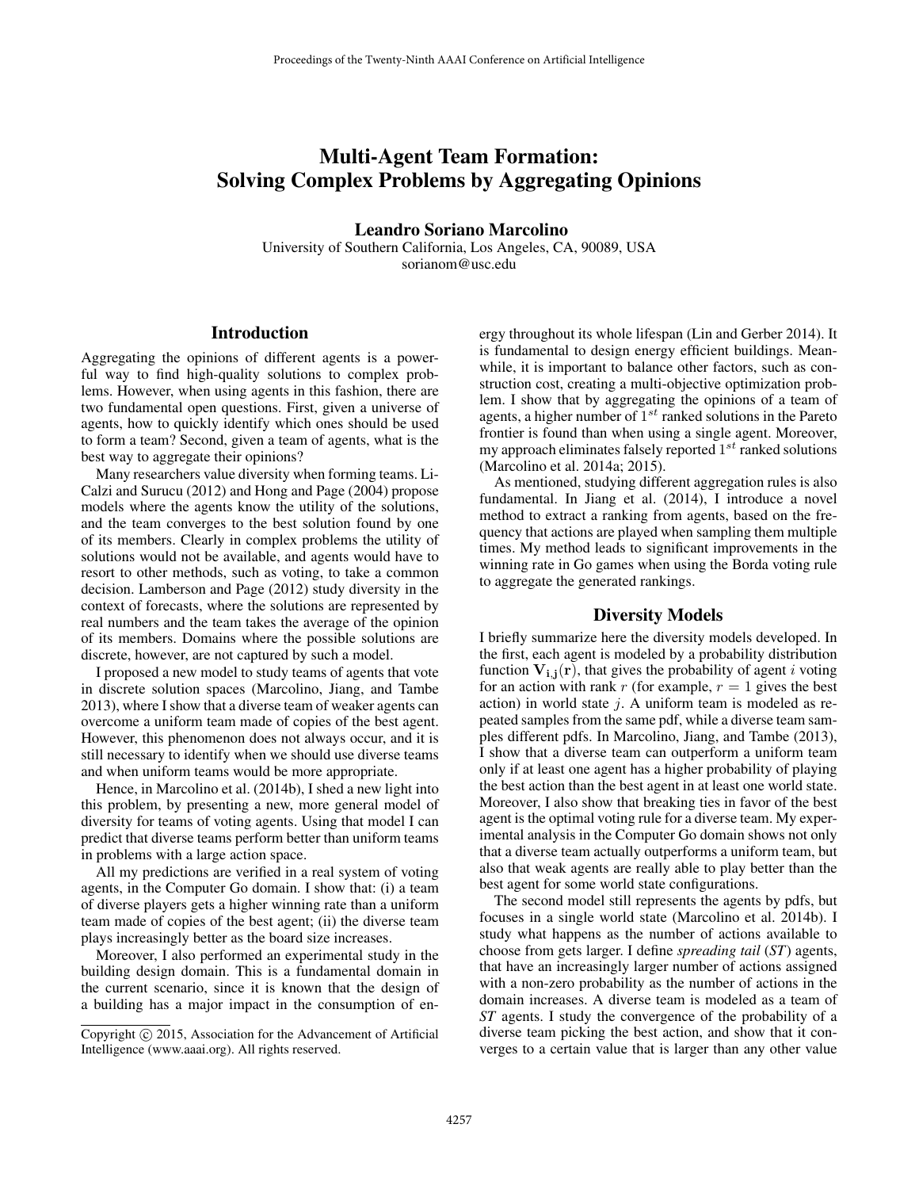# Multi-Agent Team Formation: Solving Complex Problems by Aggregating Opinions

Leandro Soriano Marcolino

University of Southern California, Los Angeles, CA, 90089, USA sorianom@usc.edu

## Introduction

Aggregating the opinions of different agents is a powerful way to find high-quality solutions to complex problems. However, when using agents in this fashion, there are two fundamental open questions. First, given a universe of agents, how to quickly identify which ones should be used to form a team? Second, given a team of agents, what is the best way to aggregate their opinions?

Many researchers value diversity when forming teams. Li-Calzi and Surucu (2012) and Hong and Page (2004) propose models where the agents know the utility of the solutions, and the team converges to the best solution found by one of its members. Clearly in complex problems the utility of solutions would not be available, and agents would have to resort to other methods, such as voting, to take a common decision. Lamberson and Page (2012) study diversity in the context of forecasts, where the solutions are represented by real numbers and the team takes the average of the opinion of its members. Domains where the possible solutions are discrete, however, are not captured by such a model.

I proposed a new model to study teams of agents that vote in discrete solution spaces (Marcolino, Jiang, and Tambe 2013), where I show that a diverse team of weaker agents can overcome a uniform team made of copies of the best agent. However, this phenomenon does not always occur, and it is still necessary to identify when we should use diverse teams and when uniform teams would be more appropriate.

Hence, in Marcolino et al. (2014b), I shed a new light into this problem, by presenting a new, more general model of diversity for teams of voting agents. Using that model I can predict that diverse teams perform better than uniform teams in problems with a large action space.

All my predictions are verified in a real system of voting agents, in the Computer Go domain. I show that: (i) a team of diverse players gets a higher winning rate than a uniform team made of copies of the best agent; (ii) the diverse team plays increasingly better as the board size increases.

Moreover, I also performed an experimental study in the building design domain. This is a fundamental domain in the current scenario, since it is known that the design of a building has a major impact in the consumption of energy throughout its whole lifespan (Lin and Gerber 2014). It is fundamental to design energy efficient buildings. Meanwhile, it is important to balance other factors, such as construction cost, creating a multi-objective optimization problem. I show that by aggregating the opinions of a team of agents, a higher number of  $1^{st}$  ranked solutions in the Pareto frontier is found than when using a single agent. Moreover, my approach eliminates falsely reported  $1^{st}$  ranked solutions (Marcolino et al. 2014a; 2015).

As mentioned, studying different aggregation rules is also fundamental. In Jiang et al. (2014), I introduce a novel method to extract a ranking from agents, based on the frequency that actions are played when sampling them multiple times. My method leads to significant improvements in the winning rate in Go games when using the Borda voting rule to aggregate the generated rankings.

#### Diversity Models

I briefly summarize here the diversity models developed. In the first, each agent is modeled by a probability distribution function  $V_{i,i}(r)$ , that gives the probability of agent i voting for an action with rank r (for example,  $r = 1$  gives the best action) in world state  $j$ . A uniform team is modeled as repeated samples from the same pdf, while a diverse team samples different pdfs. In Marcolino, Jiang, and Tambe (2013), I show that a diverse team can outperform a uniform team only if at least one agent has a higher probability of playing the best action than the best agent in at least one world state. Moreover, I also show that breaking ties in favor of the best agent is the optimal voting rule for a diverse team. My experimental analysis in the Computer Go domain shows not only that a diverse team actually outperforms a uniform team, but also that weak agents are really able to play better than the best agent for some world state configurations.

The second model still represents the agents by pdfs, but focuses in a single world state (Marcolino et al. 2014b). I study what happens as the number of actions available to choose from gets larger. I define *spreading tail* (*ST*) agents, that have an increasingly larger number of actions assigned with a non-zero probability as the number of actions in the domain increases. A diverse team is modeled as a team of *ST* agents. I study the convergence of the probability of a diverse team picking the best action, and show that it converges to a certain value that is larger than any other value

Copyright © 2015, Association for the Advancement of Artificial Intelligence (www.aaai.org). All rights reserved.